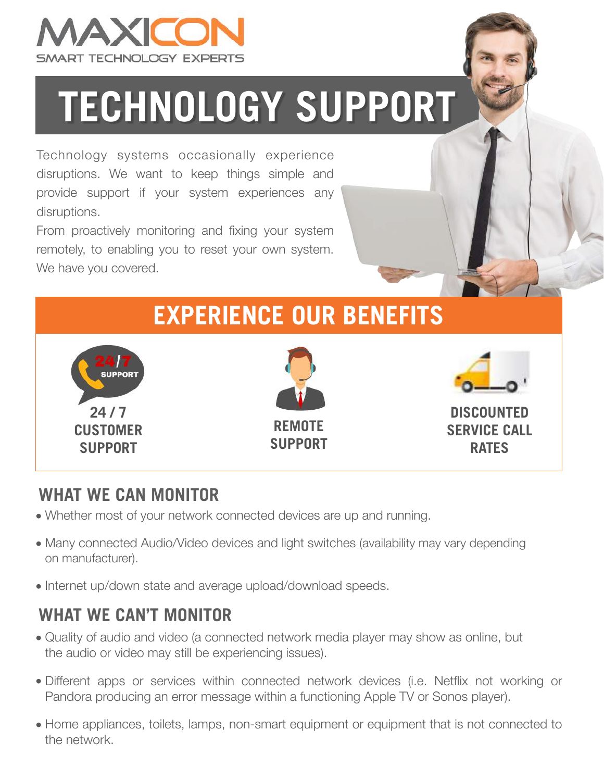

# **TECHNOLOGY SUPPORT**

Technology systems occasionally experience disruptions. We want to keep things simple and provide support if your system experiences any disruptions.

From proactively monitoring and fixing your system remotely, to enabling you to reset your own system. We have you covered.



#### **WHAT WE CAN MONITOR**

- Whether most of your network connected devices are up and running.
- Many connected Audio/Video devices and light switches (availability may vary depending on manufacturer).
- Internet up/down state and average upload/download speeds.

#### **WHAT WE CAN'T MONITOR**

- Quality of audio and video (a connected network media player may show as online, but the audio or video may still be experiencing issues).
- Different apps or services within connected network devices (i.e. Netflix not working or Pandora producing an error message within a functioning Apple TV or Sonos player).
- Home appliances, toilets, lamps, non-smart equipment or equipment that is not connected to the network.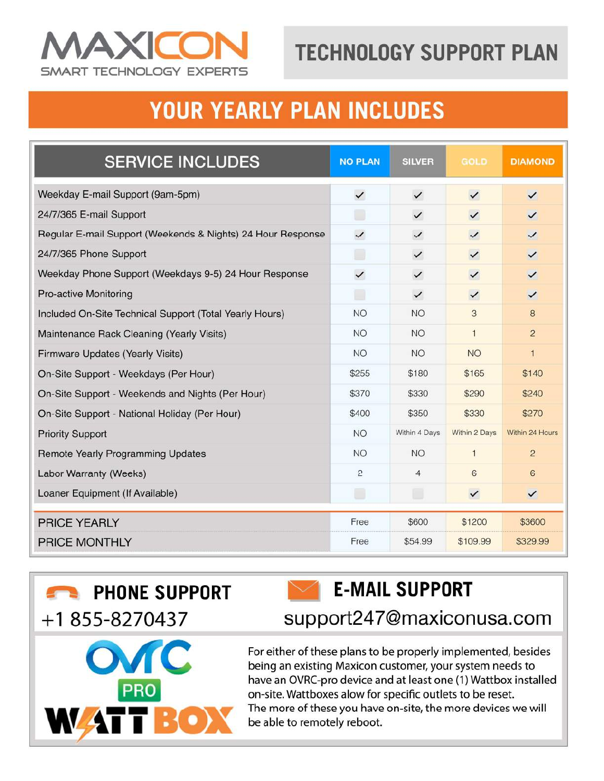

# **TECHNOLOGY SUPPORT PLAN**

### **YOUR YEARLY PLAN INCLUDES**

| <b>SERVICE INCLUDES</b>                                     | <b>NO PLAN</b> | <b>SILVER</b>  | <b>GOLD</b>   | <b>DIAMOND</b>  |
|-------------------------------------------------------------|----------------|----------------|---------------|-----------------|
| Weekday E-mail Support (9am-5pm)                            | $\checkmark$   | $\checkmark$   | $\checkmark$  | $\checkmark$    |
| 24/7/365 E-mail Support                                     |                | $\checkmark$   | $\checkmark$  | $\checkmark$    |
| Regular E-mail Support (Weekends & Nights) 24 Hour Response |                | $\checkmark$   | $\checkmark$  | $\checkmark$    |
| 24/7/365 Phone Support                                      |                | $\checkmark$   | $\checkmark$  | $\checkmark$    |
| Weekday Phone Support (Weekdays 9-5) 24 Hour Response       |                | $\checkmark$   | $\checkmark$  | $\checkmark$    |
| <b>Pro-active Monitoring</b>                                | □              | $\checkmark$   | $\checkmark$  | $\checkmark$    |
| Included On-Site Technical Support (Total Yearly Hours)     | <b>NO</b>      | <b>NO</b>      | 3             | 8               |
| Maintenance Rack Cleaning (Yearly Visits)                   | <b>NO</b>      | <b>NO</b>      | $\mathbf{1}$  | $\overline{2}$  |
| Firmware Updates (Yearly Visits)                            | <b>NO</b>      | <b>NO</b>      | <b>NO</b>     | $\mathbf{1}$    |
| On-Site Support - Weekdays (Per Hour)                       | \$255          | \$180          | \$165         | \$140           |
| On-Site Support - Weekends and Nights (Per Hour)            | \$370          | \$330          | \$290         | \$240           |
| On-Site Support - National Holiday (Per Hour)               | \$400          | \$350          | \$330         | \$270           |
| <b>Priority Support</b>                                     | <b>NO</b>      | Within 4 Days  | Within 2 Days | Within 24 Hours |
| Remote Yearly Programming Updates                           | <b>NO</b>      | <b>NO</b>      | $\mathbf{1}$  | $\overline{2}$  |
| Labor Warranty (Weeks)                                      | 2              | $\overline{4}$ | 6             | 6               |
| Loaner Equipment (If Available)                             | $\Box$         | $\Box$         | $\checkmark$  | $\checkmark$    |
| <b>PRICE YEARLY</b>                                         | Free           | \$600          | \$1200        | \$3600          |
| <b>PRICE MONTHLY</b>                                        | Free           | \$54.99        | \$109.99      | \$329.99        |



**PRO** 



support247@maxiconusa.com

For either of these plans to be properly implemented, besides being an existing Maxicon customer, your system needs to have an OVRC-pro device and at least one (1) Wattbox installed on-site. Wattboxes alow for specific outlets to be reset. The more of these you have on-site, the more devices we will be able to remotely reboot.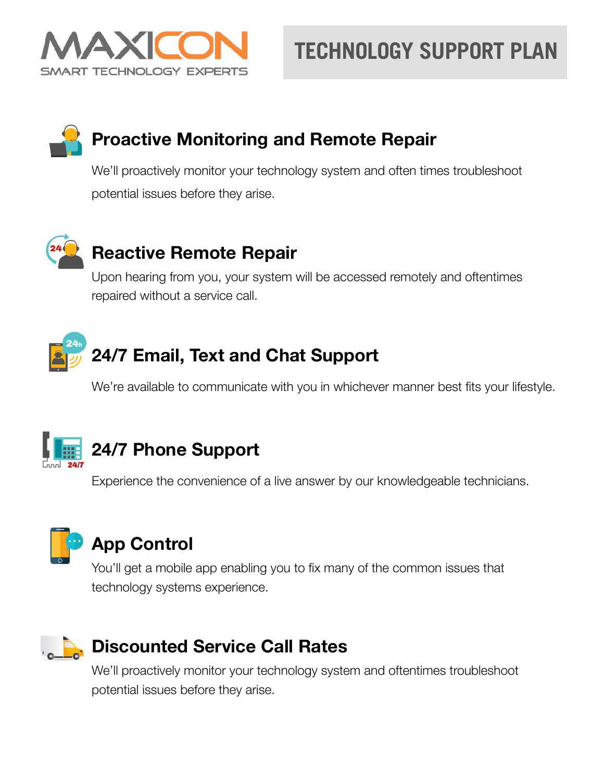

# **TECHNOLOGY SUPPORT PLAN**

#### **• Proactive Monitoring and Remote Repair**

We'll proactively monitor your technology system and often times troubleshoot potential issues before they arise.



#### **• Reactive Remote Repair**

Upon hearing from you, your system will be accessed remotely and oftentimes repaired without a service call.



We're available to communicate with you in whichever manner best fits your lifestyle.



#### **• 24/7 Phone Support**

Experience the convenience of a live answer by our knowledgeable technicians.



#### **• App Control**

You'll get a mobile app enabling you to fix many of the common issues that technology systems experience.



#### **• Discounted Service Call Rates**

We'll proactively monitor your technology system and oftentimes troubleshoot potential issues before they arise.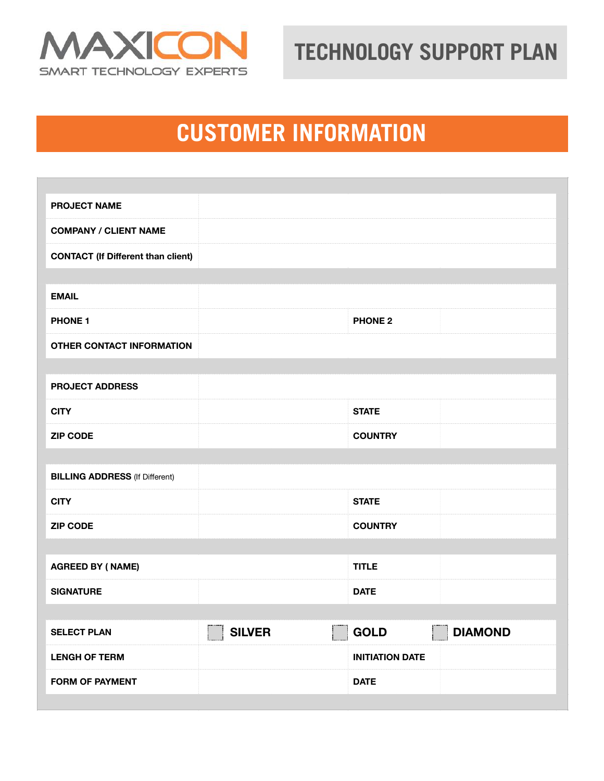

# **PRODUSTOMER INFORMATION**

| <b>PROJECT NAME</b>                       |                                                         |                                           |
|-------------------------------------------|---------------------------------------------------------|-------------------------------------------|
| <b>COMPANY / CLIENT NAME</b>              |                                                         |                                           |
| <b>CONTACT (If Different than client)</b> |                                                         |                                           |
|                                           |                                                         |                                           |
| <b>EMAIL</b>                              |                                                         |                                           |
| <b>PHONE 1</b>                            |                                                         | <b>PHONE 2</b>                            |
| <b>OTHER CONTACT INFORMATION</b>          |                                                         |                                           |
|                                           |                                                         |                                           |
| <b>PROJECT ADDRESS</b>                    |                                                         |                                           |
| <b>CITY</b>                               |                                                         | <b>STATE</b>                              |
| <b>ZIP CODE</b>                           |                                                         | <b>COUNTRY</b>                            |
|                                           |                                                         |                                           |
| <b>BILLING ADDRESS (If Different)</b>     |                                                         |                                           |
| <b>CITY</b>                               |                                                         | <b>STATE</b>                              |
| <b>ZIP CODE</b>                           |                                                         | <b>COUNTRY</b>                            |
|                                           |                                                         |                                           |
| <b>AGREED BY (NAME)</b>                   |                                                         | <b>TITLE</b>                              |
| <b>SIGNATURE</b>                          |                                                         | <b>DATE</b>                               |
|                                           |                                                         |                                           |
| <b>SELECT PLAN</b>                        | $\vert \ \ \vert$<br><b>SILVER</b><br>$\vert \ \ \vert$ | <b>GOLD</b><br>$ \;\; $<br><b>DIAMOND</b> |
| <b>LENGH OF TERM</b>                      |                                                         | <b>INITIATION DATE</b>                    |
| <b>FORM OF PAYMENT</b>                    |                                                         | <b>DATE</b>                               |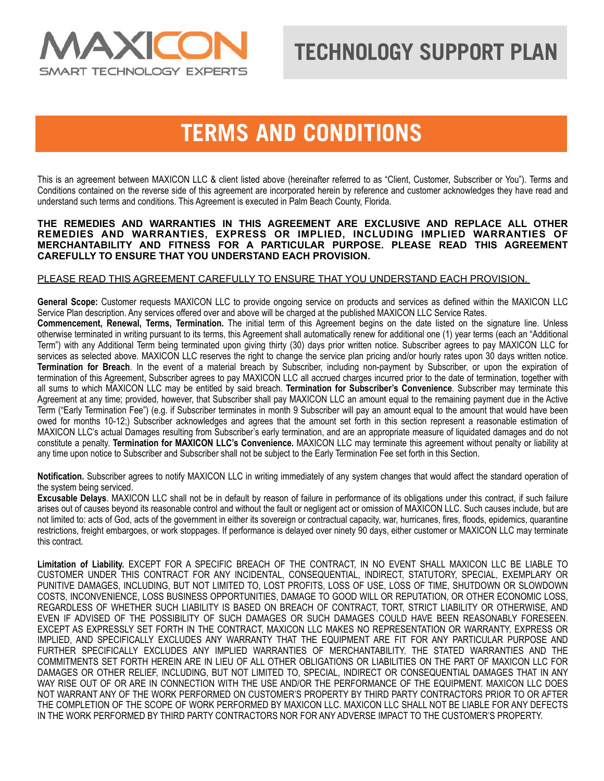

#### **TERMS AND CONDITIONS**

This is an agreement between MAXICON LLC & client listed above (hereinafter referred to as "Client, Customer, Subscriber or You"). Terms and Conditions contained on the reverse side of this agreement are incorporated herein by reference and customer acknowledges they have read and understand such terms and conditions. This Agreement is executed in Palm Beach County, Florida.

#### **THE REMEDIES AND WARRANTIES IN THIS AGREEMENT ARE EXCLUSIVE AND REPLACE ALL OTHER REMEDIES AND WARRANTIES, EXPRESS OR IMPLIED, INCLUDING IMPLIED WARRANTIES OF MERCHANTABILITY AND FITNESS FOR A PARTICULAR PURPOSE. PLEASE READ THIS AGREEMENT CAREFULLY TO ENSURE THAT YOU UNDERSTAND EACH PROVISION.**

#### PLEASE READ THIS AGREEMENT CAREFULLY TO ENSURE THAT YOU UNDERSTAND EACH PROVISION.

**General Scope:** Customer requests MAXICON LLC to provide ongoing service on products and services as defined within the MAXICON LLC Service Plan description. Any services offered over and above will be charged at the published MAXICON LLC Service Rates.

**Commencement, Renewal, Terms, Termination.** The initial term of this Agreement begins on the date listed on the signature line. Unless otherwise terminated in writing pursuant to its terms, this Agreement shall automatically renew for additional one (1) year terms (each an "Additional Term") with any Additional Term being terminated upon giving thirty (30) days prior written notice. Subscriber agrees to pay MAXICON LLC for services as selected above. MAXICON LLC reserves the right to change the service plan pricing and/or hourly rates upon 30 days written notice. **Termination for Breach**. In the event of a material breach by Subscriber, including non-payment by Subscriber, or upon the expiration of termination of this Agreement, Subscriber agrees to pay MAXICON LLC all accrued charges incurred prior to the date of termination, together with all sums to which MAXICON LLC may be entitled by said breach. **Termination for Subscriber's Convenience**. Subscriber may terminate this Agreement at any time; provided, however, that Subscriber shall pay MAXICON LLC an amount equal to the remaining payment due in the Active Term ("Early Termination Fee") (e.g. if Subscriber terminates in month 9 Subscriber will pay an amount equal to the amount that would have been owed for months 10-12;) Subscriber acknowledges and agrees that the amount set forth in this section represent a reasonable estimation of MAXICON LLC's actual Damages resulting from Subscriber's early termination, and are an appropriate measure of liquidated damages and do not constitute a penalty. **Termination for MAXICON LLC's Convenience.** MAXICON LLC may terminate this agreement without penalty or liability at any time upon notice to Subscriber and Subscriber shall not be subject to the Early Termination Fee set forth in this Section.

**Notification.** Subscriber agrees to notify MAXICON LLC in writing immediately of any system changes that would affect the standard operation of the system being serviced.

**Excusable Delays**. MAXICON LLC shall not be in default by reason of failure in performance of its obligations under this contract, if such failure arises out of causes beyond its reasonable control and without the fault or negligent act or omission of MAXICON LLC. Such causes include, but are not limited to: acts of God, acts of the government in either its sovereign or contractual capacity, war, hurricanes, fires, floods, epidemics, quarantine restrictions, freight embargoes, or work stoppages. If performance is delayed over ninety 90 days, either customer or MAXICON LLC may terminate this contract.

**Limitation of Liability.** EXCEPT FOR A SPECIFIC BREACH OF THE CONTRACT, IN NO EVENT SHALL MAXICON LLC BE LIABLE TO CUSTOMER UNDER THIS CONTRACT FOR ANY INCIDENTAL, CONSEQUENTIAL, INDIRECT, STATUTORY, SPECIAL, EXEMPLARY OR PUNITIVE DAMAGES, INCLUDING, BUT NOT LIMITED TO, LOST PROFITS, LOSS OF USE, LOSS OF TIME, SHUTDOWN OR SLOWDOWN COSTS, INCONVENIENCE, LOSS BUSINESS OPPORTUNITIES, DAMAGE TO GOOD WILL OR REPUTATION, OR OTHER ECONOMIC LOSS, REGARDLESS OF WHETHER SUCH LIABILITY IS BASED ON BREACH OF CONTRACT, TORT, STRICT LIABILITY OR OTHERWISE, AND EVEN IF ADVISED OF THE POSSIBILITY OF SUCH DAMAGES OR SUCH DAMAGES COULD HAVE BEEN REASONABLY FORESEEN. EXCEPT AS EXPRESSLY SET FORTH IN THE CONTRACT, MAXICON LLC MAKES NO REPRESENTATION OR WARRANTY, EXPRESS OR IMPLIED, AND SPECIFICALLY EXCLUDES ANY WARRANTY THAT THE EQUIPMENT ARE FIT FOR ANY PARTICULAR PURPOSE AND FURTHER SPECIFICALLY EXCLUDES ANY IMPLIED WARRANTIES OF MERCHANTABILITY. THE STATED WARRANTIES AND THE COMMITMENTS SET FORTH HEREIN ARE IN LIEU OF ALL OTHER OBLIGATIONS OR LIABILITIES ON THE PART OF MAXICON LLC FOR DAMAGES OR OTHER RELIEF, INCLUDING, BUT NOT LIMITED TO, SPECIAL, INDIRECT OR CONSEQUENTIAL DAMAGES THAT IN ANY WAY RISE OUT OF OR ARE IN CONNECTION WITH THE USE AND/OR THE PERFORMANCE OF THE EQUIPMENT. MAXICON LLC DOES NOT WARRANT ANY OF THE WORK PERFORMED ON CUSTOMER'S PROPERTY BY THIRD PARTY CONTRACTORS PRIOR TO OR AFTER THE COMPLETION OF THE SCOPE OF WORK PERFORMED BY MAXICON LLC. MAXICON LLC SHALL NOT BE LIABLE FOR ANY DEFECTS IN THE WORK PERFORMED BY THIRD PARTY CONTRACTORS NOR FOR ANY ADVERSE IMPACT TO THE CUSTOMER'S PROPERTY.